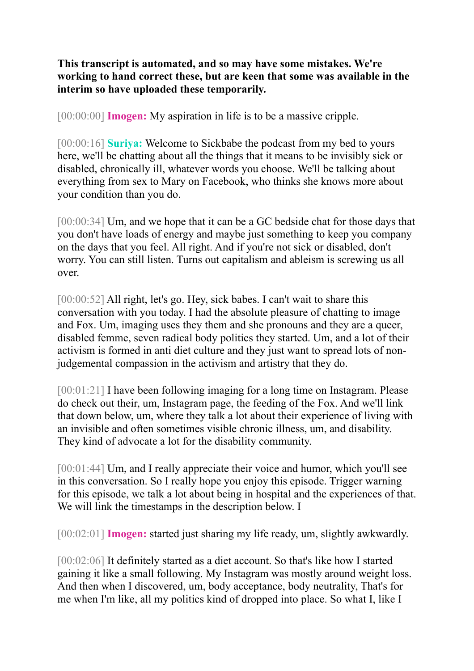**This transcript is automated, and so may have some mistakes. We're working to hand correct these, but are keen that some was available in the interim so have uploaded these temporarily.** 

[00:00:00] **Imogen:** My aspiration in life is to be a massive cripple.

[00:00:16] **Suriya:** Welcome to Sickbabe the podcast from my bed to yours here, we'll be chatting about all the things that it means to be invisibly sick or disabled, chronically ill, whatever words you choose. We'll be talking about everything from sex to Mary on Facebook, who thinks she knows more about your condition than you do.

[00:00:34] Um, and we hope that it can be a GC bedside chat for those days that you don't have loads of energy and maybe just something to keep you company on the days that you feel. All right. And if you're not sick or disabled, don't worry. You can still listen. Turns out capitalism and ableism is screwing us all over.

[00:00:52] All right, let's go. Hey, sick babes. I can't wait to share this conversation with you today. I had the absolute pleasure of chatting to image and Fox. Um, imaging uses they them and she pronouns and they are a queer, disabled femme, seven radical body politics they started. Um, and a lot of their activism is formed in anti diet culture and they just want to spread lots of nonjudgemental compassion in the activism and artistry that they do.

[00:01:21] I have been following imaging for a long time on Instagram. Please do check out their, um, Instagram page, the feeding of the Fox. And we'll link that down below, um, where they talk a lot about their experience of living with an invisible and often sometimes visible chronic illness, um, and disability. They kind of advocate a lot for the disability community.

[00:01:44] Um, and I really appreciate their voice and humor, which you'll see in this conversation. So I really hope you enjoy this episode. Trigger warning for this episode, we talk a lot about being in hospital and the experiences of that. We will link the timestamps in the description below. I

[00:02:01] **Imogen:** started just sharing my life ready, um, slightly awkwardly.

[00:02:06] It definitely started as a diet account. So that's like how I started gaining it like a small following. My Instagram was mostly around weight loss. And then when I discovered, um, body acceptance, body neutrality, That's for me when I'm like, all my politics kind of dropped into place. So what I, like I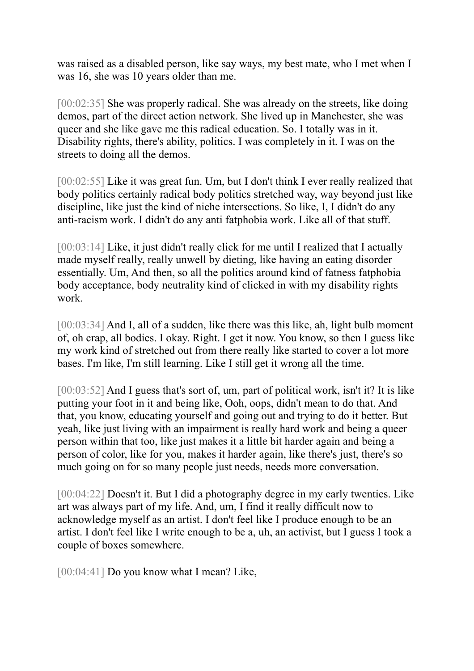was raised as a disabled person, like say ways, my best mate, who I met when I was 16, she was 10 years older than me.

[00:02:35] She was properly radical. She was already on the streets, like doing demos, part of the direct action network. She lived up in Manchester, she was queer and she like gave me this radical education. So. I totally was in it. Disability rights, there's ability, politics. I was completely in it. I was on the streets to doing all the demos.

[00:02:55] Like it was great fun. Um, but I don't think I ever really realized that body politics certainly radical body politics stretched way, way beyond just like discipline, like just the kind of niche intersections. So like, I, I didn't do any anti-racism work. I didn't do any anti fatphobia work. Like all of that stuff.

[00:03:14] Like, it just didn't really click for me until I realized that I actually made myself really, really unwell by dieting, like having an eating disorder essentially. Um, And then, so all the politics around kind of fatness fatphobia body acceptance, body neutrality kind of clicked in with my disability rights work.

[00:03:34] And I, all of a sudden, like there was this like, ah, light bulb moment of, oh crap, all bodies. I okay. Right. I get it now. You know, so then I guess like my work kind of stretched out from there really like started to cover a lot more bases. I'm like, I'm still learning. Like I still get it wrong all the time.

[00:03:52] And I guess that's sort of, um, part of political work, isn't it? It is like putting your foot in it and being like, Ooh, oops, didn't mean to do that. And that, you know, educating yourself and going out and trying to do it better. But yeah, like just living with an impairment is really hard work and being a queer person within that too, like just makes it a little bit harder again and being a person of color, like for you, makes it harder again, like there's just, there's so much going on for so many people just needs, needs more conversation.

[00:04:22] Doesn't it. But I did a photography degree in my early twenties. Like art was always part of my life. And, um, I find it really difficult now to acknowledge myself as an artist. I don't feel like I produce enough to be an artist. I don't feel like I write enough to be a, uh, an activist, but I guess I took a couple of boxes somewhere.

[00:04:41] Do you know what I mean? Like,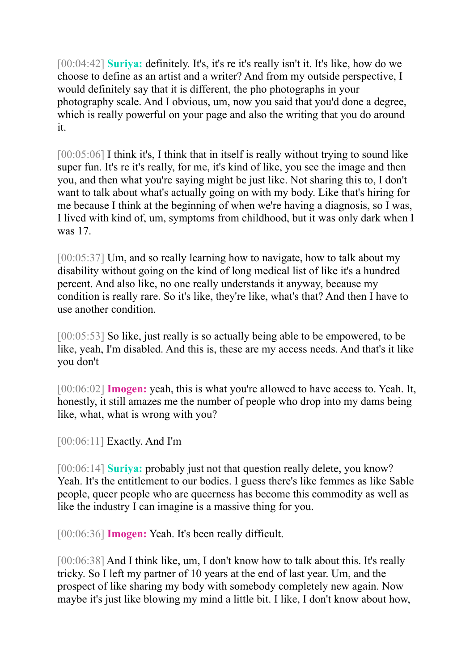[00:04:42] **Suriya:** definitely. It's, it's re it's really isn't it. It's like, how do we choose to define as an artist and a writer? And from my outside perspective, I would definitely say that it is different, the pho photographs in your photography scale. And I obvious, um, now you said that you'd done a degree, which is really powerful on your page and also the writing that you do around it.

[00:05:06] I think it's, I think that in itself is really without trying to sound like super fun. It's re it's really, for me, it's kind of like, you see the image and then you, and then what you're saying might be just like. Not sharing this to, I don't want to talk about what's actually going on with my body. Like that's hiring for me because I think at the beginning of when we're having a diagnosis, so I was, I lived with kind of, um, symptoms from childhood, but it was only dark when I was 17.

[00:05:37] Um, and so really learning how to navigate, how to talk about my disability without going on the kind of long medical list of like it's a hundred percent. And also like, no one really understands it anyway, because my condition is really rare. So it's like, they're like, what's that? And then I have to use another condition.

[00:05:53] So like, just really is so actually being able to be empowered, to be like, yeah, I'm disabled. And this is, these are my access needs. And that's it like you don't

[00:06:02] **Imogen:** yeah, this is what you're allowed to have access to. Yeah. It, honestly, it still amazes me the number of people who drop into my dams being like, what, what is wrong with you?

[00:06:11] **Exactly. And I'm** 

[00:06:14] **Suriya:** probably just not that question really delete, you know? Yeah. It's the entitlement to our bodies. I guess there's like femmes as like Sable people, queer people who are queerness has become this commodity as well as like the industry I can imagine is a massive thing for you.

[00:06:36] **Imogen:** Yeah. It's been really difficult.

[00:06:38] And I think like, um, I don't know how to talk about this. It's really tricky. So I left my partner of 10 years at the end of last year. Um, and the prospect of like sharing my body with somebody completely new again. Now maybe it's just like blowing my mind a little bit. I like, I don't know about how,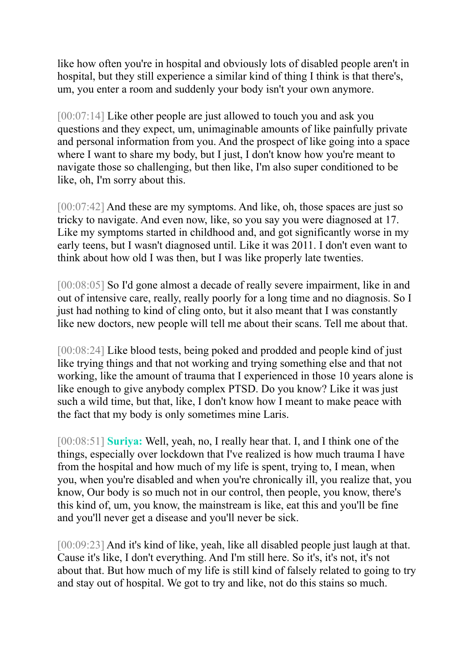like how often you're in hospital and obviously lots of disabled people aren't in hospital, but they still experience a similar kind of thing I think is that there's, um, you enter a room and suddenly your body isn't your own anymore.

[00:07:14] Like other people are just allowed to touch you and ask you questions and they expect, um, unimaginable amounts of like painfully private and personal information from you. And the prospect of like going into a space where I want to share my body, but I just, I don't know how you're meant to navigate those so challenging, but then like, I'm also super conditioned to be like, oh, I'm sorry about this.

[00:07:42] And these are my symptoms. And like, oh, those spaces are just so tricky to navigate. And even now, like, so you say you were diagnosed at 17. Like my symptoms started in childhood and, and got significantly worse in my early teens, but I wasn't diagnosed until. Like it was 2011. I don't even want to think about how old I was then, but I was like properly late twenties.

[00:08:05] So I'd gone almost a decade of really severe impairment, like in and out of intensive care, really, really poorly for a long time and no diagnosis. So I just had nothing to kind of cling onto, but it also meant that I was constantly like new doctors, new people will tell me about their scans. Tell me about that.

[00:08:24] Like blood tests, being poked and prodded and people kind of just like trying things and that not working and trying something else and that not working, like the amount of trauma that I experienced in those 10 years alone is like enough to give anybody complex PTSD. Do you know? Like it was just such a wild time, but that, like, I don't know how I meant to make peace with the fact that my body is only sometimes mine Laris.

[00:08:51] **Suriya:** Well, yeah, no, I really hear that. I, and I think one of the things, especially over lockdown that I've realized is how much trauma I have from the hospital and how much of my life is spent, trying to, I mean, when you, when you're disabled and when you're chronically ill, you realize that, you know, Our body is so much not in our control, then people, you know, there's this kind of, um, you know, the mainstream is like, eat this and you'll be fine and you'll never get a disease and you'll never be sick.

[00:09:23] And it's kind of like, yeah, like all disabled people just laugh at that. Cause it's like, I don't everything. And I'm still here. So it's, it's not, it's not about that. But how much of my life is still kind of falsely related to going to try and stay out of hospital. We got to try and like, not do this stains so much.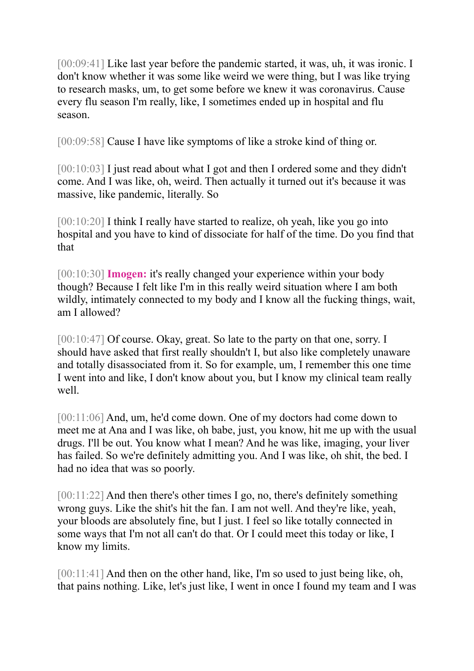[00:09:41] Like last year before the pandemic started, it was, uh, it was ironic. I don't know whether it was some like weird we were thing, but I was like trying to research masks, um, to get some before we knew it was coronavirus. Cause every flu season I'm really, like, I sometimes ended up in hospital and flu season.

[00:09:58] Cause I have like symptoms of like a stroke kind of thing or.

[00:10:03] I just read about what I got and then I ordered some and they didn't come. And I was like, oh, weird. Then actually it turned out it's because it was massive, like pandemic, literally. So

[00:10:20] I think I really have started to realize, oh yeah, like you go into hospital and you have to kind of dissociate for half of the time. Do you find that that

[00:10:30] **Imogen:** it's really changed your experience within your body though? Because I felt like I'm in this really weird situation where I am both wildly, intimately connected to my body and I know all the fucking things, wait, am I allowed?

[00:10:47] Of course. Okay, great. So late to the party on that one, sorry. I should have asked that first really shouldn't I, but also like completely unaware and totally disassociated from it. So for example, um, I remember this one time I went into and like, I don't know about you, but I know my clinical team really well.

[00:11:06] And, um, he'd come down. One of my doctors had come down to meet me at Ana and I was like, oh babe, just, you know, hit me up with the usual drugs. I'll be out. You know what I mean? And he was like, imaging, your liver has failed. So we're definitely admitting you. And I was like, oh shit, the bed. I had no idea that was so poorly.

[00:11:22] And then there's other times I go, no, there's definitely something wrong guys. Like the shit's hit the fan. I am not well. And they're like, yeah, your bloods are absolutely fine, but I just. I feel so like totally connected in some ways that I'm not all can't do that. Or I could meet this today or like, I know my limits.

[00:11:41] And then on the other hand, like, I'm so used to just being like, oh, that pains nothing. Like, let's just like, I went in once I found my team and I was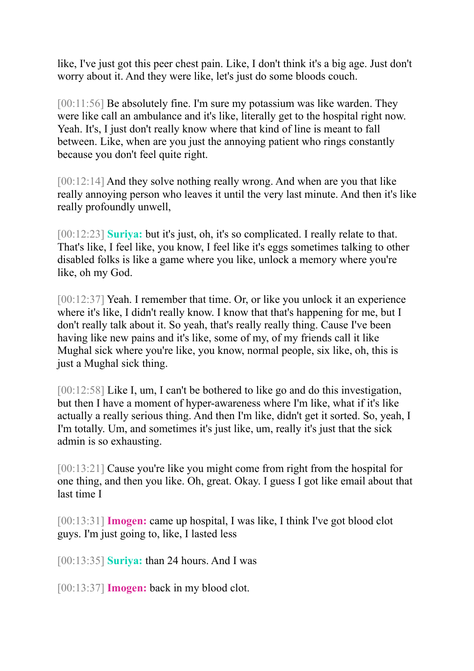like, I've just got this peer chest pain. Like, I don't think it's a big age. Just don't worry about it. And they were like, let's just do some bloods couch.

[00:11:56] Be absolutely fine. I'm sure my potassium was like warden. They were like call an ambulance and it's like, literally get to the hospital right now. Yeah. It's, I just don't really know where that kind of line is meant to fall between. Like, when are you just the annoying patient who rings constantly because you don't feel quite right.

[00:12:14] And they solve nothing really wrong. And when are you that like really annoying person who leaves it until the very last minute. And then it's like really profoundly unwell,

[00:12:23] **Suriya:** but it's just, oh, it's so complicated. I really relate to that. That's like, I feel like, you know, I feel like it's eggs sometimes talking to other disabled folks is like a game where you like, unlock a memory where you're like, oh my God.

[00:12:37] Yeah. I remember that time. Or, or like you unlock it an experience where it's like, I didn't really know. I know that that's happening for me, but I don't really talk about it. So yeah, that's really really thing. Cause I've been having like new pains and it's like, some of my, of my friends call it like Mughal sick where you're like, you know, normal people, six like, oh, this is just a Mughal sick thing.

[00:12:58] Like I, um, I can't be bothered to like go and do this investigation, but then I have a moment of hyper-awareness where I'm like, what if it's like actually a really serious thing. And then I'm like, didn't get it sorted. So, yeah, I I'm totally. Um, and sometimes it's just like, um, really it's just that the sick admin is so exhausting.

[00:13:21] Cause you're like you might come from right from the hospital for one thing, and then you like. Oh, great. Okay. I guess I got like email about that last time I

[00:13:31] **Imogen:** came up hospital, I was like, I think I've got blood clot guys. I'm just going to, like, I lasted less

[00:13:35] **Suriya:** than 24 hours. And I was

[00:13:37] **Imogen:** back in my blood clot.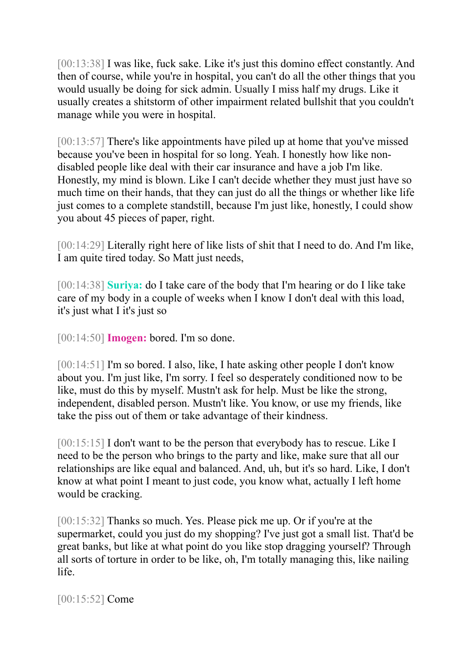[00:13:38] I was like, fuck sake. Like it's just this domino effect constantly. And then of course, while you're in hospital, you can't do all the other things that you would usually be doing for sick admin. Usually I miss half my drugs. Like it usually creates a shitstorm of other impairment related bullshit that you couldn't manage while you were in hospital.

[00:13:57] There's like appointments have piled up at home that you've missed because you've been in hospital for so long. Yeah. I honestly how like nondisabled people like deal with their car insurance and have a job I'm like. Honestly, my mind is blown. Like I can't decide whether they must just have so much time on their hands, that they can just do all the things or whether like life just comes to a complete standstill, because I'm just like, honestly, I could show you about 45 pieces of paper, right.

[00:14:29] Literally right here of like lists of shit that I need to do. And I'm like, I am quite tired today. So Matt just needs,

[00:14:38] **Suriya:** do I take care of the body that I'm hearing or do I like take care of my body in a couple of weeks when I know I don't deal with this load, it's just what I it's just so

[00:14:50] **Imogen:** bored. I'm so done.

[00:14:51] I'm so bored. I also, like, I hate asking other people I don't know about you. I'm just like, I'm sorry. I feel so desperately conditioned now to be like, must do this by myself. Mustn't ask for help. Must be like the strong, independent, disabled person. Mustn't like. You know, or use my friends, like take the piss out of them or take advantage of their kindness.

[00:15:15] I don't want to be the person that everybody has to rescue. Like I need to be the person who brings to the party and like, make sure that all our relationships are like equal and balanced. And, uh, but it's so hard. Like, I don't know at what point I meant to just code, you know what, actually I left home would be cracking.

[00:15:32] Thanks so much. Yes. Please pick me up. Or if you're at the supermarket, could you just do my shopping? I've just got a small list. That'd be great banks, but like at what point do you like stop dragging yourself? Through all sorts of torture in order to be like, oh, I'm totally managing this, like nailing life.

[00:15:52] Come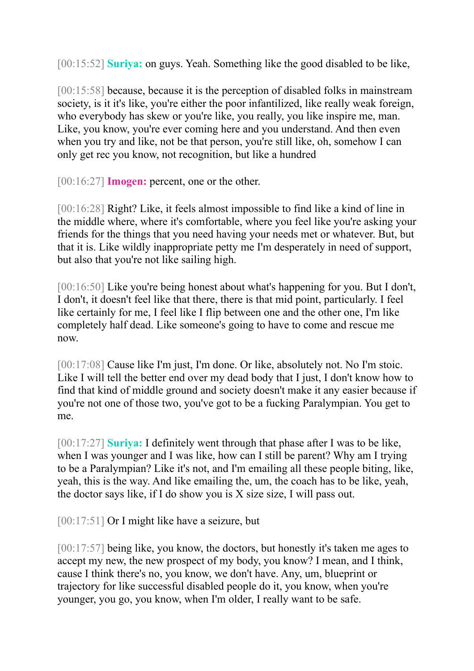[00:15:52] **Suriya:** on guys. Yeah. Something like the good disabled to be like,

[00:15:58] because, because it is the perception of disabled folks in mainstream society, is it it's like, you're either the poor infantilized, like really weak foreign, who everybody has skew or you're like, you really, you like inspire me, man. Like, you know, you're ever coming here and you understand. And then even when you try and like, not be that person, you're still like, oh, somehow I can only get rec you know, not recognition, but like a hundred

[00:16:27] **Imogen:** percent, one or the other.

[00:16:28] Right? Like, it feels almost impossible to find like a kind of line in the middle where, where it's comfortable, where you feel like you're asking your friends for the things that you need having your needs met or whatever. But, but that it is. Like wildly inappropriate petty me I'm desperately in need of support, but also that you're not like sailing high.

[00:16:50] Like you're being honest about what's happening for you. But I don't, I don't, it doesn't feel like that there, there is that mid point, particularly. I feel like certainly for me, I feel like I flip between one and the other one, I'm like completely half dead. Like someone's going to have to come and rescue me now.

[00:17:08] Cause like I'm just, I'm done. Or like, absolutely not. No I'm stoic. Like I will tell the better end over my dead body that I just, I don't know how to find that kind of middle ground and society doesn't make it any easier because if you're not one of those two, you've got to be a fucking Paralympian. You get to me.

[00:17:27] **Suriya:** I definitely went through that phase after I was to be like, when I was younger and I was like, how can I still be parent? Why am I trying to be a Paralympian? Like it's not, and I'm emailing all these people biting, like, yeah, this is the way. And like emailing the, um, the coach has to be like, yeah, the doctor says like, if I do show you is X size size, I will pass out.

[00:17:51] Or I might like have a seizure, but

[00:17:57] being like, you know, the doctors, but honestly it's taken me ages to accept my new, the new prospect of my body, you know? I mean, and I think, cause I think there's no, you know, we don't have. Any, um, blueprint or trajectory for like successful disabled people do it, you know, when you're younger, you go, you know, when I'm older, I really want to be safe.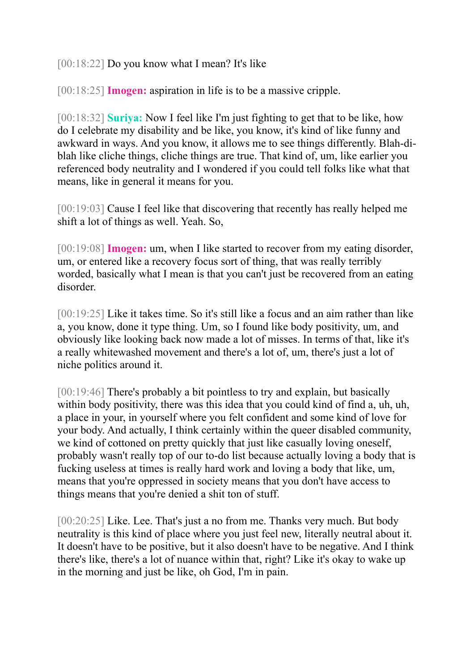[00:18:22] Do you know what I mean? It's like

[00:18:25] **Imogen:** aspiration in life is to be a massive cripple.

[00:18:32] **Suriya:** Now I feel like I'm just fighting to get that to be like, how do I celebrate my disability and be like, you know, it's kind of like funny and awkward in ways. And you know, it allows me to see things differently. Blah-diblah like cliche things, cliche things are true. That kind of, um, like earlier you referenced body neutrality and I wondered if you could tell folks like what that means, like in general it means for you.

[00:19:03] Cause I feel like that discovering that recently has really helped me shift a lot of things as well. Yeah. So,

[00:19:08] **Imogen:** um, when I like started to recover from my eating disorder, um, or entered like a recovery focus sort of thing, that was really terribly worded, basically what I mean is that you can't just be recovered from an eating disorder.

[00:19:25] Like it takes time. So it's still like a focus and an aim rather than like a, you know, done it type thing. Um, so I found like body positivity, um, and obviously like looking back now made a lot of misses. In terms of that, like it's a really whitewashed movement and there's a lot of, um, there's just a lot of niche politics around it.

[00:19:46] There's probably a bit pointless to try and explain, but basically within body positivity, there was this idea that you could kind of find a, uh, uh, a place in your, in yourself where you felt confident and some kind of love for your body. And actually, I think certainly within the queer disabled community, we kind of cottoned on pretty quickly that just like casually loving oneself, probably wasn't really top of our to-do list because actually loving a body that is fucking useless at times is really hard work and loving a body that like, um, means that you're oppressed in society means that you don't have access to things means that you're denied a shit ton of stuff.

[00:20:25] Like. Lee. That's just a no from me. Thanks very much. But body neutrality is this kind of place where you just feel new, literally neutral about it. It doesn't have to be positive, but it also doesn't have to be negative. And I think there's like, there's a lot of nuance within that, right? Like it's okay to wake up in the morning and just be like, oh God, I'm in pain.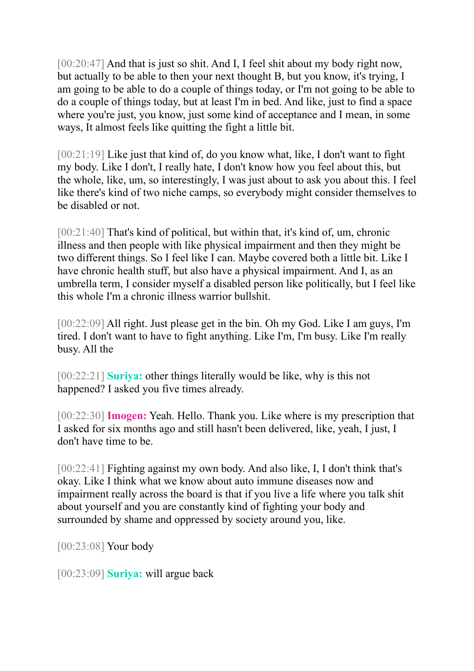[00:20:47] And that is just so shit. And I, I feel shit about my body right now, but actually to be able to then your next thought B, but you know, it's trying, I am going to be able to do a couple of things today, or I'm not going to be able to do a couple of things today, but at least I'm in bed. And like, just to find a space where you're just, you know, just some kind of acceptance and I mean, in some ways, It almost feels like quitting the fight a little bit.

[00:21:19] Like just that kind of, do you know what, like, I don't want to fight my body. Like I don't, I really hate, I don't know how you feel about this, but the whole, like, um, so interestingly, I was just about to ask you about this. I feel like there's kind of two niche camps, so everybody might consider themselves to be disabled or not.

[00:21:40] That's kind of political, but within that, it's kind of, um, chronic illness and then people with like physical impairment and then they might be two different things. So I feel like I can. Maybe covered both a little bit. Like I have chronic health stuff, but also have a physical impairment. And I, as an umbrella term, I consider myself a disabled person like politically, but I feel like this whole I'm a chronic illness warrior bullshit.

[00:22:09] All right. Just please get in the bin. Oh my God. Like I am guys, I'm tired. I don't want to have to fight anything. Like I'm, I'm busy. Like I'm really busy. All the

[00:22:21] **Suriya:** other things literally would be like, why is this not happened? I asked you five times already.

[00:22:30] **Imogen:** Yeah. Hello. Thank you. Like where is my prescription that I asked for six months ago and still hasn't been delivered, like, yeah, I just, I don't have time to be.

[00:22:41] Fighting against my own body. And also like, I, I don't think that's okay. Like I think what we know about auto immune diseases now and impairment really across the board is that if you live a life where you talk shit about yourself and you are constantly kind of fighting your body and surrounded by shame and oppressed by society around you, like.

[00:23:08] Your body

[00:23:09] **Suriya:** will argue back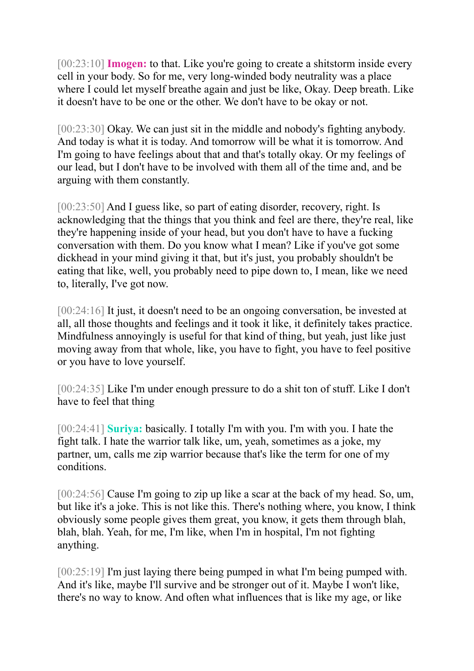[00:23:10] **Imogen:** to that. Like you're going to create a shitstorm inside every cell in your body. So for me, very long-winded body neutrality was a place where I could let myself breathe again and just be like, Okay. Deep breath. Like it doesn't have to be one or the other. We don't have to be okay or not.

[00:23:30] Okay. We can just sit in the middle and nobody's fighting anybody. And today is what it is today. And tomorrow will be what it is tomorrow. And I'm going to have feelings about that and that's totally okay. Or my feelings of our lead, but I don't have to be involved with them all of the time and, and be arguing with them constantly.

[00:23:50] And I guess like, so part of eating disorder, recovery, right. Is acknowledging that the things that you think and feel are there, they're real, like they're happening inside of your head, but you don't have to have a fucking conversation with them. Do you know what I mean? Like if you've got some dickhead in your mind giving it that, but it's just, you probably shouldn't be eating that like, well, you probably need to pipe down to, I mean, like we need to, literally, I've got now.

[00:24:16] It just, it doesn't need to be an ongoing conversation, be invested at all, all those thoughts and feelings and it took it like, it definitely takes practice. Mindfulness annoyingly is useful for that kind of thing, but yeah, just like just moving away from that whole, like, you have to fight, you have to feel positive or you have to love yourself.

[00:24:35] Like I'm under enough pressure to do a shit ton of stuff. Like I don't have to feel that thing

[00:24:41] **Suriya:** basically. I totally I'm with you. I'm with you. I hate the fight talk. I hate the warrior talk like, um, yeah, sometimes as a joke, my partner, um, calls me zip warrior because that's like the term for one of my conditions.

[00:24:56] Cause I'm going to zip up like a scar at the back of my head. So, um, but like it's a joke. This is not like this. There's nothing where, you know, I think obviously some people gives them great, you know, it gets them through blah, blah, blah. Yeah, for me, I'm like, when I'm in hospital, I'm not fighting anything.

[00:25:19] I'm just laying there being pumped in what I'm being pumped with. And it's like, maybe I'll survive and be stronger out of it. Maybe I won't like, there's no way to know. And often what influences that is like my age, or like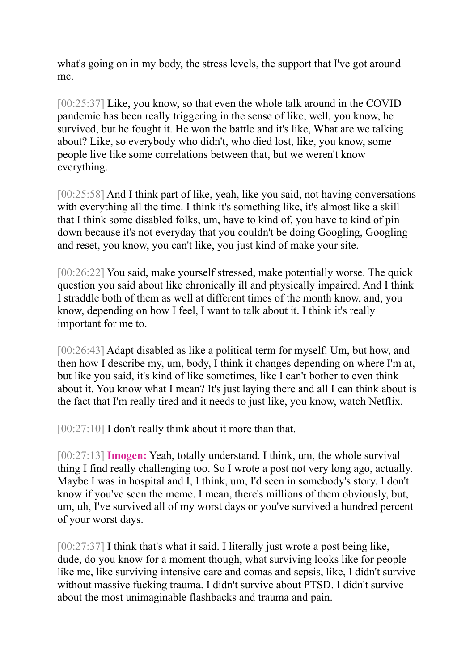what's going on in my body, the stress levels, the support that I've got around me.

[00:25:37] Like, you know, so that even the whole talk around in the COVID pandemic has been really triggering in the sense of like, well, you know, he survived, but he fought it. He won the battle and it's like, What are we talking about? Like, so everybody who didn't, who died lost, like, you know, some people live like some correlations between that, but we weren't know everything.

[00:25:58] And I think part of like, yeah, like you said, not having conversations with everything all the time. I think it's something like, it's almost like a skill that I think some disabled folks, um, have to kind of, you have to kind of pin down because it's not everyday that you couldn't be doing Googling, Googling and reset, you know, you can't like, you just kind of make your site.

[00:26:22] You said, make yourself stressed, make potentially worse. The quick question you said about like chronically ill and physically impaired. And I think I straddle both of them as well at different times of the month know, and, you know, depending on how I feel, I want to talk about it. I think it's really important for me to.

[00:26:43] Adapt disabled as like a political term for myself. Um, but how, and then how I describe my, um, body, I think it changes depending on where I'm at, but like you said, it's kind of like sometimes, like I can't bother to even think about it. You know what I mean? It's just laying there and all I can think about is the fact that I'm really tired and it needs to just like, you know, watch Netflix.

[00:27:10] I don't really think about it more than that.

[00:27:13] **Imogen:** Yeah, totally understand. I think, um, the whole survival thing I find really challenging too. So I wrote a post not very long ago, actually. Maybe I was in hospital and I, I think, um, I'd seen in somebody's story. I don't know if you've seen the meme. I mean, there's millions of them obviously, but, um, uh, I've survived all of my worst days or you've survived a hundred percent of your worst days.

[00:27:37] I think that's what it said. I literally just wrote a post being like, dude, do you know for a moment though, what surviving looks like for people like me, like surviving intensive care and comas and sepsis, like, I didn't survive without massive fucking trauma. I didn't survive about PTSD. I didn't survive about the most unimaginable flashbacks and trauma and pain.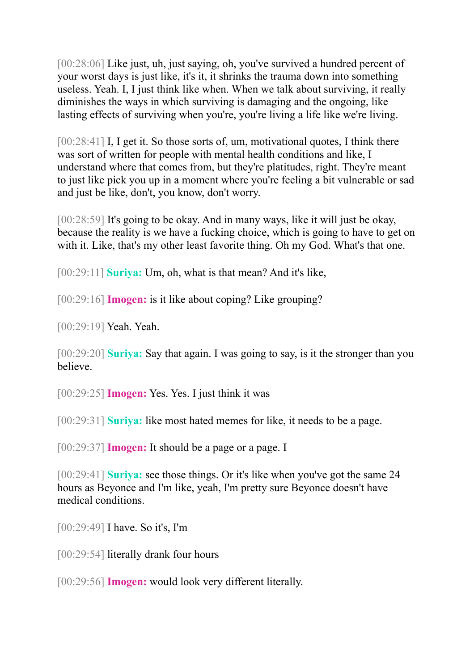[00:28:06] Like just, uh, just saying, oh, you've survived a hundred percent of your worst days is just like, it's it, it shrinks the trauma down into something useless. Yeah. I, I just think like when. When we talk about surviving, it really diminishes the ways in which surviving is damaging and the ongoing, like lasting effects of surviving when you're, you're living a life like we're living.

[00:28:41] I, I get it. So those sorts of, um, motivational quotes, I think there was sort of written for people with mental health conditions and like, I understand where that comes from, but they're platitudes, right. They're meant to just like pick you up in a moment where you're feeling a bit vulnerable or sad and just be like, don't, you know, don't worry.

[00:28:59] It's going to be okay. And in many ways, like it will just be okay, because the reality is we have a fucking choice, which is going to have to get on with it. Like, that's my other least favorite thing. Oh my God. What's that one.

[00:29:11] **Suriya:** Um, oh, what is that mean? And it's like,

[00:29:16] **Imogen:** is it like about coping? Like grouping?

[00:29:19] Yeah. Yeah.

[00:29:20] **Suriya:** Say that again. I was going to say, is it the stronger than you believe.

[00:29:25] **Imogen:** Yes. Yes. I just think it was

[00:29:31] **Suriya:** like most hated memes for like, it needs to be a page.

[00:29:37] **Imogen:** It should be a page or a page. I

[00:29:41] **Suriya:** see those things. Or it's like when you've got the same 24 hours as Beyonce and I'm like, yeah, I'm pretty sure Beyonce doesn't have medical conditions.

[00:29:49] I have. So it's, I'm

[00:29:54] literally drank four hours

[00:29:56] **Imogen:** would look very different literally.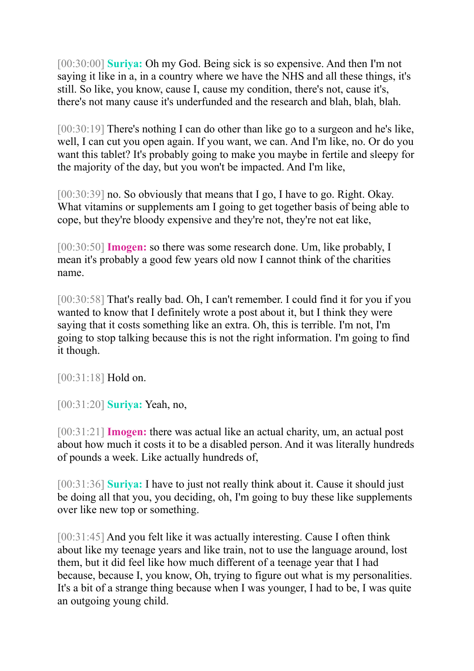[00:30:00] **Suriya:** Oh my God. Being sick is so expensive. And then I'm not saying it like in a, in a country where we have the NHS and all these things, it's still. So like, you know, cause I, cause my condition, there's not, cause it's, there's not many cause it's underfunded and the research and blah, blah, blah.

[00:30:19] There's nothing I can do other than like go to a surgeon and he's like, well, I can cut you open again. If you want, we can. And I'm like, no. Or do you want this tablet? It's probably going to make you maybe in fertile and sleepy for the majority of the day, but you won't be impacted. And I'm like,

[00:30:39] no. So obviously that means that I go, I have to go. Right. Okay. What vitamins or supplements am I going to get together basis of being able to cope, but they're bloody expensive and they're not, they're not eat like,

[00:30:50] **Imogen:** so there was some research done. Um, like probably, I mean it's probably a good few years old now I cannot think of the charities name.

[00:30:58] That's really bad. Oh, I can't remember. I could find it for you if you wanted to know that I definitely wrote a post about it, but I think they were saying that it costs something like an extra. Oh, this is terrible. I'm not, I'm going to stop talking because this is not the right information. I'm going to find it though.

[00:31:18] **Hold on.** 

[00:31:20] **Suriya:** Yeah, no,

[00:31:21] **Imogen:** there was actual like an actual charity, um, an actual post about how much it costs it to be a disabled person. And it was literally hundreds of pounds a week. Like actually hundreds of,

[00:31:36] **Suriya:** I have to just not really think about it. Cause it should just be doing all that you, you deciding, oh, I'm going to buy these like supplements over like new top or something.

[00:31:45] And you felt like it was actually interesting. Cause I often think about like my teenage years and like train, not to use the language around, lost them, but it did feel like how much different of a teenage year that I had because, because I, you know, Oh, trying to figure out what is my personalities. It's a bit of a strange thing because when I was younger, I had to be, I was quite an outgoing young child.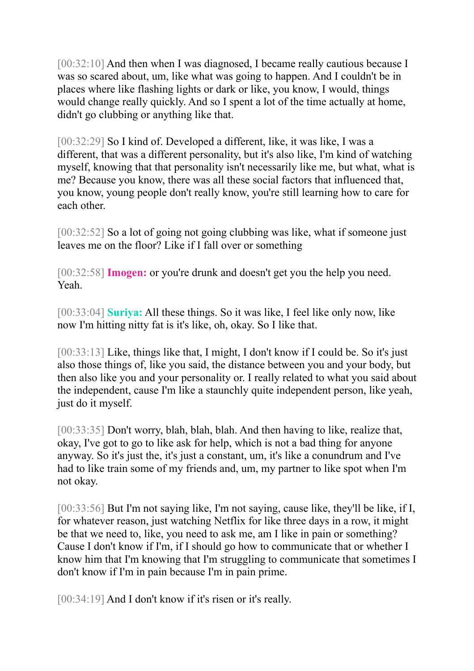[00:32:10] And then when I was diagnosed, I became really cautious because I was so scared about, um, like what was going to happen. And I couldn't be in places where like flashing lights or dark or like, you know, I would, things would change really quickly. And so I spent a lot of the time actually at home, didn't go clubbing or anything like that.

[00:32:29] So I kind of. Developed a different, like, it was like, I was a different, that was a different personality, but it's also like, I'm kind of watching myself, knowing that that personality isn't necessarily like me, but what, what is me? Because you know, there was all these social factors that influenced that, you know, young people don't really know, you're still learning how to care for each other.

[00:32:52] So a lot of going not going clubbing was like, what if someone just leaves me on the floor? Like if I fall over or something

[00:32:58] **Imogen:** or you're drunk and doesn't get you the help you need. Yeah.

[00:33:04] **Suriya:** All these things. So it was like, I feel like only now, like now I'm hitting nitty fat is it's like, oh, okay. So I like that.

[00:33:13] Like, things like that, I might, I don't know if I could be. So it's just also those things of, like you said, the distance between you and your body, but then also like you and your personality or. I really related to what you said about the independent, cause I'm like a staunchly quite independent person, like yeah, just do it myself.

[00:33:35] Don't worry, blah, blah, blah. And then having to like, realize that, okay, I've got to go to like ask for help, which is not a bad thing for anyone anyway. So it's just the, it's just a constant, um, it's like a conundrum and I've had to like train some of my friends and, um, my partner to like spot when I'm not okay.

[00:33:56] But I'm not saying like, I'm not saying, cause like, they'll be like, if I, for whatever reason, just watching Netflix for like three days in a row, it might be that we need to, like, you need to ask me, am I like in pain or something? Cause I don't know if I'm, if I should go how to communicate that or whether I know him that I'm knowing that I'm struggling to communicate that sometimes I don't know if I'm in pain because I'm in pain prime.

[00:34:19] And I don't know if it's risen or it's really.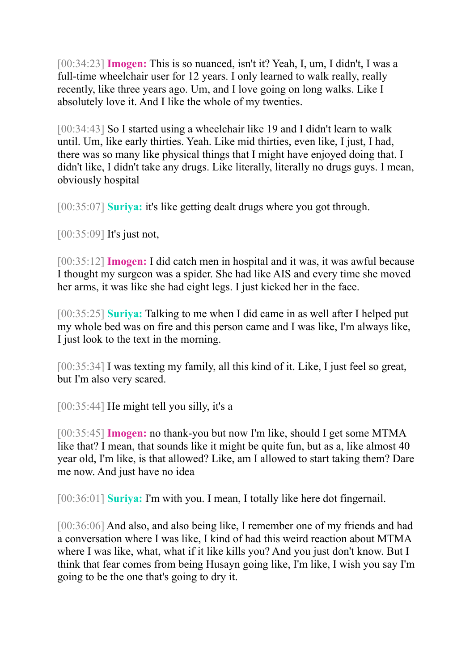[00:34:23] **Imogen:** This is so nuanced, isn't it? Yeah, I, um, I didn't, I was a full-time wheelchair user for 12 years. I only learned to walk really, really recently, like three years ago. Um, and I love going on long walks. Like I absolutely love it. And I like the whole of my twenties.

[00:34:43] So I started using a wheelchair like 19 and I didn't learn to walk until. Um, like early thirties. Yeah. Like mid thirties, even like, I just, I had, there was so many like physical things that I might have enjoyed doing that. I didn't like, I didn't take any drugs. Like literally, literally no drugs guys. I mean, obviously hospital

[00:35:07] **Suriya:** it's like getting dealt drugs where you got through.

[00:35:09] It's just not,

[00:35:12] **Imogen:** I did catch men in hospital and it was, it was awful because I thought my surgeon was a spider. She had like AIS and every time she moved her arms, it was like she had eight legs. I just kicked her in the face.

[00:35:25] **Suriya:** Talking to me when I did came in as well after I helped put my whole bed was on fire and this person came and I was like, I'm always like, I just look to the text in the morning.

[00:35:34] I was texting my family, all this kind of it. Like, I just feel so great, but I'm also very scared.

[00:35:44] He might tell you silly, it's a

[00:35:45] **Imogen:** no thank-you but now I'm like, should I get some MTMA like that? I mean, that sounds like it might be quite fun, but as a, like almost 40 year old, I'm like, is that allowed? Like, am I allowed to start taking them? Dare me now. And just have no idea

[00:36:01] **Suriya:** I'm with you. I mean, I totally like here dot fingernail.

[00:36:06] And also, and also being like, I remember one of my friends and had a conversation where I was like, I kind of had this weird reaction about MTMA where I was like, what, what if it like kills you? And you just don't know. But I think that fear comes from being Husayn going like, I'm like, I wish you say I'm going to be the one that's going to dry it.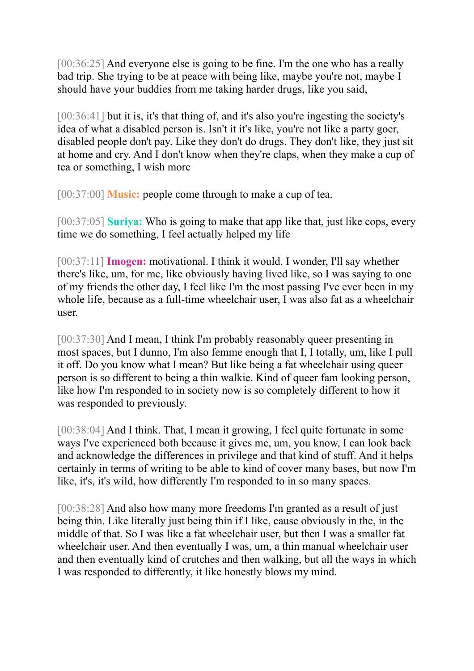[00:36:25] And everyone else is going to be fine. I'm the one who has a really bad trip. She trying to be at peace with being like, maybe you're not, maybe I should have your buddies from me taking harder drugs, like you said,

[00:36:41] but it is, it's that thing of, and it's also you're ingesting the society's idea of what a disabled person is. Isn't it it's like, you're not like a party goer, disabled people don't pay. Like they don't do drugs. They don't like, they just sit at home and cry. And I don't know when they're claps, when they make a cup of tea or something, I wish more

[00:37:00] **Music:** people come through to make a cup of tea.

[00:37:05] **Suriya:** Who is going to make that app like that, just like cops, every time we do something, I feel actually helped my life

[00:37:11] **Imogen:** motivational. I think it would. I wonder, I'll say whether there's like, um, for me, like obviously having lived like, so I was saying to one of my friends the other day, I feel like I'm the most passing I've ever been in my whole life, because as a full-time wheelchair user, I was also fat as a wheelchair user.

[00:37:30] And I mean, I think I'm probably reasonably queer presenting in most spaces, but I dunno, I'm also femme enough that I, I totally, um, like I pull it off. Do you know what I mean? But like being a fat wheelchair using queer person is so different to being a thin walkie. Kind of queer fam looking person, like how I'm responded to in society now is so completely different to how it was responded to previously.

[00:38:04] And I think. That, I mean it growing, I feel quite fortunate in some ways I've experienced both because it gives me, um, you know, I can look back and acknowledge the differences in privilege and that kind of stuff. And it helps certainly in terms of writing to be able to kind of cover many bases, but now I'm like, it's, it's wild, how differently I'm responded to in so many spaces.

[00:38:28] And also how many more freedoms I'm granted as a result of just being thin. Like literally just being thin if I like, cause obviously in the, in the middle of that. So I was like a fat wheelchair user, but then I was a smaller fat wheelchair user. And then eventually I was, um, a thin manual wheelchair user and then eventually kind of crutches and then walking, but all the ways in which I was responded to differently, it like honestly blows my mind.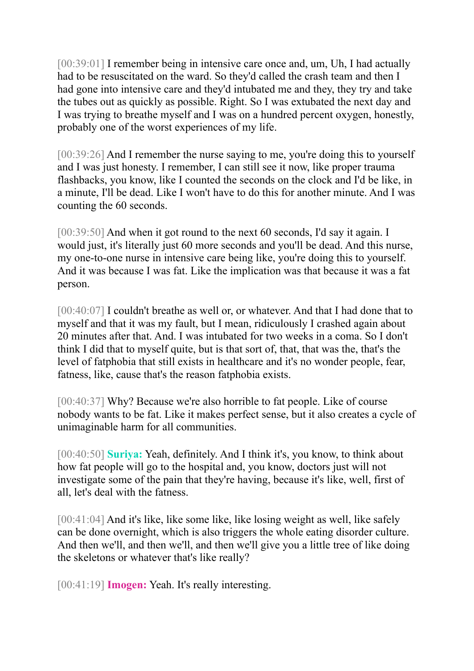[00:39:01] I remember being in intensive care once and, um, Uh, I had actually had to be resuscitated on the ward. So they'd called the crash team and then I had gone into intensive care and they'd intubated me and they, they try and take the tubes out as quickly as possible. Right. So I was extubated the next day and I was trying to breathe myself and I was on a hundred percent oxygen, honestly, probably one of the worst experiences of my life.

[00:39:26] And I remember the nurse saying to me, you're doing this to yourself and I was just honesty. I remember, I can still see it now, like proper trauma flashbacks, you know, like I counted the seconds on the clock and I'd be like, in a minute, I'll be dead. Like I won't have to do this for another minute. And I was counting the 60 seconds.

[00:39:50] And when it got round to the next 60 seconds, I'd say it again. I would just, it's literally just 60 more seconds and you'll be dead. And this nurse, my one-to-one nurse in intensive care being like, you're doing this to yourself. And it was because I was fat. Like the implication was that because it was a fat person.

[00:40:07] I couldn't breathe as well or, or whatever. And that I had done that to myself and that it was my fault, but I mean, ridiculously I crashed again about 20 minutes after that. And. I was intubated for two weeks in a coma. So I don't think I did that to myself quite, but is that sort of, that, that was the, that's the level of fatphobia that still exists in healthcare and it's no wonder people, fear, fatness, like, cause that's the reason fatphobia exists.

[00:40:37] Why? Because we're also horrible to fat people. Like of course nobody wants to be fat. Like it makes perfect sense, but it also creates a cycle of unimaginable harm for all communities.

[00:40:50] **Suriya:** Yeah, definitely. And I think it's, you know, to think about how fat people will go to the hospital and, you know, doctors just will not investigate some of the pain that they're having, because it's like, well, first of all, let's deal with the fatness.

[00:41:04] And it's like, like some like, like losing weight as well, like safely can be done overnight, which is also triggers the whole eating disorder culture. And then we'll, and then we'll, and then we'll give you a little tree of like doing the skeletons or whatever that's like really?

[00:41:19] **Imogen:** Yeah. It's really interesting.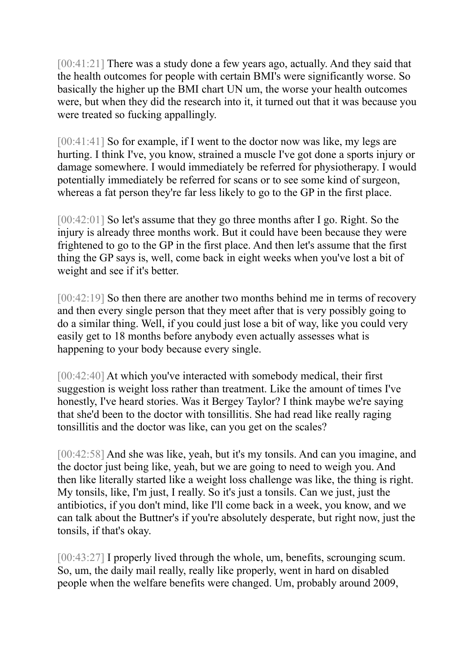[00:41:21] There was a study done a few years ago, actually. And they said that the health outcomes for people with certain BMI's were significantly worse. So basically the higher up the BMI chart UN um, the worse your health outcomes were, but when they did the research into it, it turned out that it was because you were treated so fucking appallingly.

[00:41:41] So for example, if I went to the doctor now was like, my legs are hurting. I think I've, you know, strained a muscle I've got done a sports injury or damage somewhere. I would immediately be referred for physiotherapy. I would potentially immediately be referred for scans or to see some kind of surgeon, whereas a fat person they're far less likely to go to the GP in the first place.

[00:42:01] So let's assume that they go three months after I go. Right. So the injury is already three months work. But it could have been because they were frightened to go to the GP in the first place. And then let's assume that the first thing the GP says is, well, come back in eight weeks when you've lost a bit of weight and see if it's better.

[00:42:19] So then there are another two months behind me in terms of recovery and then every single person that they meet after that is very possibly going to do a similar thing. Well, if you could just lose a bit of way, like you could very easily get to 18 months before anybody even actually assesses what is happening to your body because every single.

[00:42:40] At which you've interacted with somebody medical, their first suggestion is weight loss rather than treatment. Like the amount of times I've honestly, I've heard stories. Was it Bergey Taylor? I think maybe we're saying that she'd been to the doctor with tonsillitis. She had read like really raging tonsillitis and the doctor was like, can you get on the scales?

[00:42:58] And she was like, yeah, but it's my tonsils. And can you imagine, and the doctor just being like, yeah, but we are going to need to weigh you. And then like literally started like a weight loss challenge was like, the thing is right. My tonsils, like, I'm just, I really. So it's just a tonsils. Can we just, just the antibiotics, if you don't mind, like I'll come back in a week, you know, and we can talk about the Buttner's if you're absolutely desperate, but right now, just the tonsils, if that's okay.

[00:43:27] I properly lived through the whole, um, benefits, scrounging scum. So, um, the daily mail really, really like properly, went in hard on disabled people when the welfare benefits were changed. Um, probably around 2009,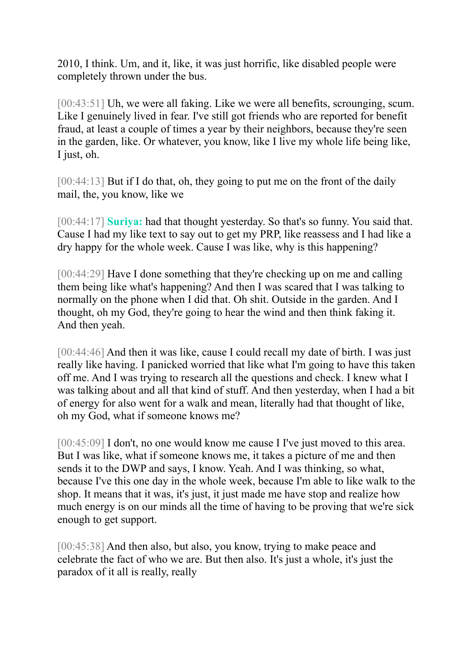2010, I think. Um, and it, like, it was just horrific, like disabled people were completely thrown under the bus.

[00:43:51] Uh, we were all faking. Like we were all benefits, scrounging, scum. Like I genuinely lived in fear. I've still got friends who are reported for benefit fraud, at least a couple of times a year by their neighbors, because they're seen in the garden, like. Or whatever, you know, like I live my whole life being like, I just, oh.

[00:44:13] But if I do that, oh, they going to put me on the front of the daily mail, the, you know, like we

[00:44:17] **Suriya:** had that thought yesterday. So that's so funny. You said that. Cause I had my like text to say out to get my PRP, like reassess and I had like a dry happy for the whole week. Cause I was like, why is this happening?

[00:44:29] Have I done something that they're checking up on me and calling them being like what's happening? And then I was scared that I was talking to normally on the phone when I did that. Oh shit. Outside in the garden. And I thought, oh my God, they're going to hear the wind and then think faking it. And then yeah.

[00:44:46] And then it was like, cause I could recall my date of birth. I was just really like having. I panicked worried that like what I'm going to have this taken off me. And I was trying to research all the questions and check. I knew what I was talking about and all that kind of stuff. And then yesterday, when I had a bit of energy for also went for a walk and mean, literally had that thought of like, oh my God, what if someone knows me?

[00:45:09] I don't, no one would know me cause I I've just moved to this area. But I was like, what if someone knows me, it takes a picture of me and then sends it to the DWP and says, I know. Yeah. And I was thinking, so what, because I've this one day in the whole week, because I'm able to like walk to the shop. It means that it was, it's just, it just made me have stop and realize how much energy is on our minds all the time of having to be proving that we're sick enough to get support.

[00:45:38] And then also, but also, you know, trying to make peace and celebrate the fact of who we are. But then also. It's just a whole, it's just the paradox of it all is really, really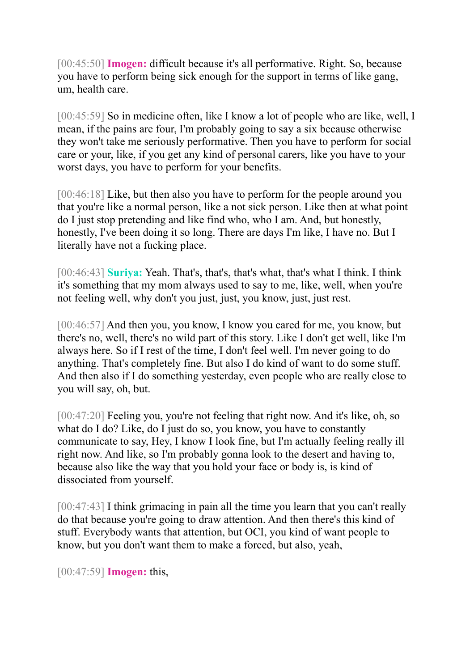[00:45:50] **Imogen:** difficult because it's all performative. Right. So, because you have to perform being sick enough for the support in terms of like gang, um, health care.

[00:45:59] So in medicine often, like I know a lot of people who are like, well, I mean, if the pains are four, I'm probably going to say a six because otherwise they won't take me seriously performative. Then you have to perform for social care or your, like, if you get any kind of personal carers, like you have to your worst days, you have to perform for your benefits.

[00:46:18] Like, but then also you have to perform for the people around you that you're like a normal person, like a not sick person. Like then at what point do I just stop pretending and like find who, who I am. And, but honestly, honestly, I've been doing it so long. There are days I'm like, I have no. But I literally have not a fucking place.

[00:46:43] **Suriya:** Yeah. That's, that's, that's what, that's what I think. I think it's something that my mom always used to say to me, like, well, when you're not feeling well, why don't you just, just, you know, just, just rest.

[00:46:57] And then you, you know, I know you cared for me, you know, but there's no, well, there's no wild part of this story. Like I don't get well, like I'm always here. So if I rest of the time, I don't feel well. I'm never going to do anything. That's completely fine. But also I do kind of want to do some stuff. And then also if I do something yesterday, even people who are really close to you will say, oh, but.

[00:47:20] Feeling you, you're not feeling that right now. And it's like, oh, so what do I do? Like, do I just do so, you know, you have to constantly communicate to say, Hey, I know I look fine, but I'm actually feeling really ill right now. And like, so I'm probably gonna look to the desert and having to, because also like the way that you hold your face or body is, is kind of dissociated from yourself.

[00:47:43] I think grimacing in pain all the time you learn that you can't really do that because you're going to draw attention. And then there's this kind of stuff. Everybody wants that attention, but OCI, you kind of want people to know, but you don't want them to make a forced, but also, yeah,

[00:47:59] **Imogen:** this,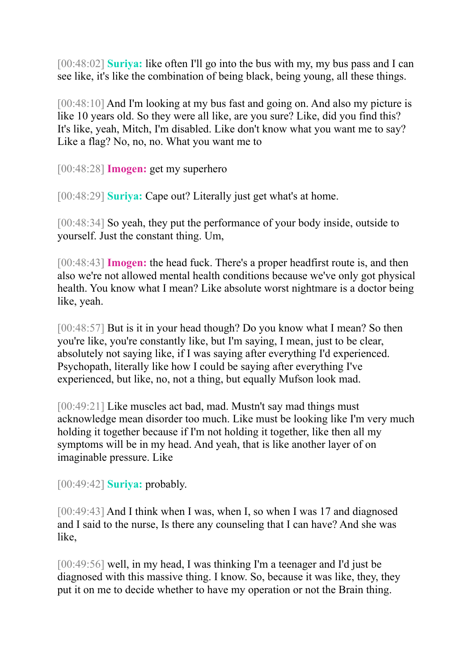[00:48:02] **Suriya:** like often I'll go into the bus with my, my bus pass and I can see like, it's like the combination of being black, being young, all these things.

[00:48:10] And I'm looking at my bus fast and going on. And also my picture is like 10 years old. So they were all like, are you sure? Like, did you find this? It's like, yeah, Mitch, I'm disabled. Like don't know what you want me to say? Like a flag? No, no, no. What you want me to

[00:48:28] **Imogen:** get my superhero

[00:48:29] **Suriya:** Cape out? Literally just get what's at home.

[00:48:34] So yeah, they put the performance of your body inside, outside to yourself. Just the constant thing. Um,

[00:48:43] **Imogen:** the head fuck. There's a proper headfirst route is, and then also we're not allowed mental health conditions because we've only got physical health. You know what I mean? Like absolute worst nightmare is a doctor being like, yeah.

[00:48:57] But is it in your head though? Do you know what I mean? So then you're like, you're constantly like, but I'm saying, I mean, just to be clear, absolutely not saying like, if I was saying after everything I'd experienced. Psychopath, literally like how I could be saying after everything I've experienced, but like, no, not a thing, but equally Mufson look mad.

[00:49:21] Like muscles act bad, mad. Mustn't say mad things must acknowledge mean disorder too much. Like must be looking like I'm very much holding it together because if I'm not holding it together, like then all my symptoms will be in my head. And yeah, that is like another layer of on imaginable pressure. Like

[00:49:42] **Suriya:** probably.

[00:49:43] And I think when I was, when I, so when I was 17 and diagnosed and I said to the nurse, Is there any counseling that I can have? And she was like,

[00:49:56] well, in my head, I was thinking I'm a teenager and I'd just be diagnosed with this massive thing. I know. So, because it was like, they, they put it on me to decide whether to have my operation or not the Brain thing.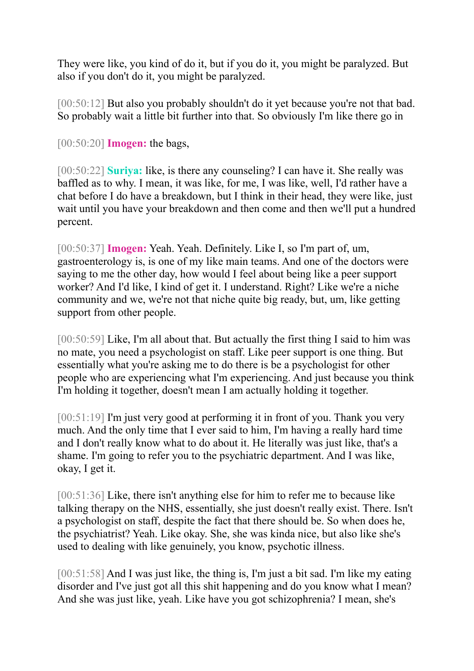They were like, you kind of do it, but if you do it, you might be paralyzed. But also if you don't do it, you might be paralyzed.

[00:50:12] But also you probably shouldn't do it yet because you're not that bad. So probably wait a little bit further into that. So obviously I'm like there go in

[00:50:20] **Imogen:** the bags,

[00:50:22] **Suriya:** like, is there any counseling? I can have it. She really was baffled as to why. I mean, it was like, for me, I was like, well, I'd rather have a chat before I do have a breakdown, but I think in their head, they were like, just wait until you have your breakdown and then come and then we'll put a hundred percent.

[00:50:37] **Imogen:** Yeah. Yeah. Definitely. Like I, so I'm part of, um, gastroenterology is, is one of my like main teams. And one of the doctors were saying to me the other day, how would I feel about being like a peer support worker? And I'd like, I kind of get it. I understand. Right? Like we're a niche community and we, we're not that niche quite big ready, but, um, like getting support from other people.

[00:50:59] Like, I'm all about that. But actually the first thing I said to him was no mate, you need a psychologist on staff. Like peer support is one thing. But essentially what you're asking me to do there is be a psychologist for other people who are experiencing what I'm experiencing. And just because you think I'm holding it together, doesn't mean I am actually holding it together.

[00:51:19] I'm just very good at performing it in front of you. Thank you very much. And the only time that I ever said to him, I'm having a really hard time and I don't really know what to do about it. He literally was just like, that's a shame. I'm going to refer you to the psychiatric department. And I was like, okay, I get it.

[00:51:36] Like, there isn't anything else for him to refer me to because like talking therapy on the NHS, essentially, she just doesn't really exist. There. Isn't a psychologist on staff, despite the fact that there should be. So when does he, the psychiatrist? Yeah. Like okay. She, she was kinda nice, but also like she's used to dealing with like genuinely, you know, psychotic illness.

[00:51:58] And I was just like, the thing is, I'm just a bit sad. I'm like my eating disorder and I've just got all this shit happening and do you know what I mean? And she was just like, yeah. Like have you got schizophrenia? I mean, she's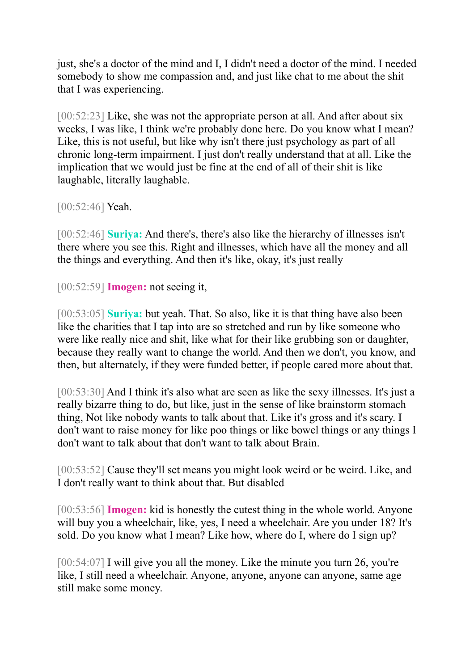just, she's a doctor of the mind and I, I didn't need a doctor of the mind. I needed somebody to show me compassion and, and just like chat to me about the shit that I was experiencing.

[00:52:23] Like, she was not the appropriate person at all. And after about six weeks, I was like, I think we're probably done here. Do you know what I mean? Like, this is not useful, but like why isn't there just psychology as part of all chronic long-term impairment. I just don't really understand that at all. Like the implication that we would just be fine at the end of all of their shit is like laughable, literally laughable.

[00:52:46] **Yeah.** 

[00:52:46] **Suriya:** And there's, there's also like the hierarchy of illnesses isn't there where you see this. Right and illnesses, which have all the money and all the things and everything. And then it's like, okay, it's just really

[00:52:59] **Imogen:** not seeing it,

[00:53:05] **Suriya:** but yeah. That. So also, like it is that thing have also been like the charities that I tap into are so stretched and run by like someone who were like really nice and shit, like what for their like grubbing son or daughter, because they really want to change the world. And then we don't, you know, and then, but alternately, if they were funded better, if people cared more about that.

[00:53:30] And I think it's also what are seen as like the sexy illnesses. It's just a really bizarre thing to do, but like, just in the sense of like brainstorm stomach thing, Not like nobody wants to talk about that. Like it's gross and it's scary. I don't want to raise money for like poo things or like bowel things or any things I don't want to talk about that don't want to talk about Brain.

[00:53:52] Cause they'll set means you might look weird or be weird. Like, and I don't really want to think about that. But disabled

[00:53:56] **Imogen:** kid is honestly the cutest thing in the whole world. Anyone will buy you a wheelchair, like, yes, I need a wheelchair. Are you under 18? It's sold. Do you know what I mean? Like how, where do I, where do I sign up?

 $[00:54:07]$  I will give you all the money. Like the minute you turn 26, you're like, I still need a wheelchair. Anyone, anyone, anyone can anyone, same age still make some money.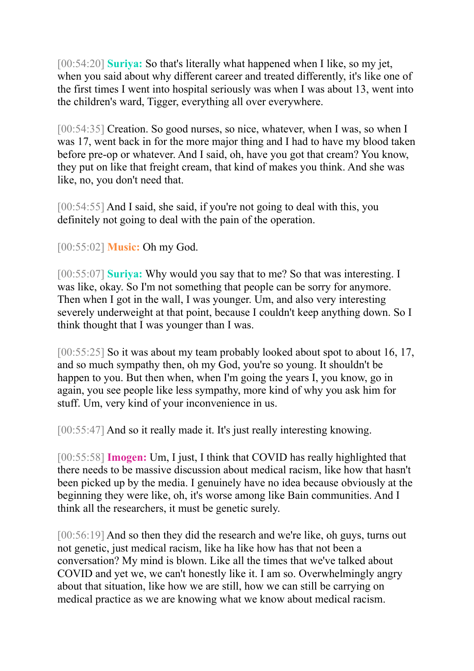[00:54:20] **Suriya:** So that's literally what happened when I like, so my jet, when you said about why different career and treated differently, it's like one of the first times I went into hospital seriously was when I was about 13, went into the children's ward, Tigger, everything all over everywhere.

[00:54:35] Creation. So good nurses, so nice, whatever, when I was, so when I was 17, went back in for the more major thing and I had to have my blood taken before pre-op or whatever. And I said, oh, have you got that cream? You know, they put on like that freight cream, that kind of makes you think. And she was like, no, you don't need that.

[00:54:55] And I said, she said, if you're not going to deal with this, you definitely not going to deal with the pain of the operation.

[00:55:02] **Music:** Oh my God.

[00:55:07] **Suriya:** Why would you say that to me? So that was interesting. I was like, okay. So I'm not something that people can be sorry for anymore. Then when I got in the wall, I was younger. Um, and also very interesting severely underweight at that point, because I couldn't keep anything down. So I think thought that I was younger than I was.

[00:55:25] So it was about my team probably looked about spot to about 16, 17, and so much sympathy then, oh my God, you're so young. It shouldn't be happen to you. But then when, when I'm going the years I, you know, go in again, you see people like less sympathy, more kind of why you ask him for stuff. Um, very kind of your inconvenience in us.

[00:55:47] And so it really made it. It's just really interesting knowing.

[00:55:58] **Imogen:** Um, I just, I think that COVID has really highlighted that there needs to be massive discussion about medical racism, like how that hasn't been picked up by the media. I genuinely have no idea because obviously at the beginning they were like, oh, it's worse among like Bain communities. And I think all the researchers, it must be genetic surely.

[00:56:19] And so then they did the research and we're like, oh guys, turns out not genetic, just medical racism, like ha like how has that not been a conversation? My mind is blown. Like all the times that we've talked about COVID and yet we, we can't honestly like it. I am so. Overwhelmingly angry about that situation, like how we are still, how we can still be carrying on medical practice as we are knowing what we know about medical racism.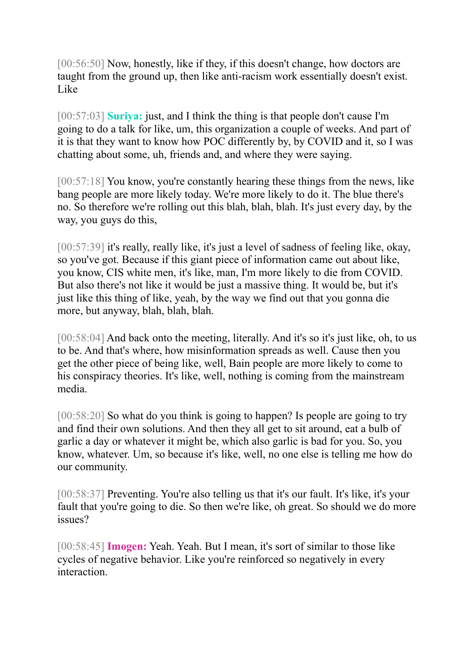[00:56:50] Now, honestly, like if they, if this doesn't change, how doctors are taught from the ground up, then like anti-racism work essentially doesn't exist. Like

[00:57:03] **Suriya:** just, and I think the thing is that people don't cause I'm going to do a talk for like, um, this organization a couple of weeks. And part of it is that they want to know how POC differently by, by COVID and it, so I was chatting about some, uh, friends and, and where they were saying.

[00:57:18] You know, you're constantly hearing these things from the news, like bang people are more likely today. We're more likely to do it. The blue there's no. So therefore we're rolling out this blah, blah, blah. It's just every day, by the way, you guys do this,

[00:57:39] it's really, really like, it's just a level of sadness of feeling like, okay, so you've got. Because if this giant piece of information came out about like, you know, CIS white men, it's like, man, I'm more likely to die from COVID. But also there's not like it would be just a massive thing. It would be, but it's just like this thing of like, yeah, by the way we find out that you gonna die more, but anyway, blah, blah, blah.

[00:58:04] And back onto the meeting, literally. And it's so it's just like, oh, to us to be. And that's where, how misinformation spreads as well. Cause then you get the other piece of being like, well, Bain people are more likely to come to his conspiracy theories. It's like, well, nothing is coming from the mainstream media.

[00:58:20] So what do you think is going to happen? Is people are going to try and find their own solutions. And then they all get to sit around, eat a bulb of garlic a day or whatever it might be, which also garlic is bad for you. So, you know, whatever. Um, so because it's like, well, no one else is telling me how do our community.

[00:58:37] Preventing. You're also telling us that it's our fault. It's like, it's your fault that you're going to die. So then we're like, oh great. So should we do more issues?

[00:58:45] **Imogen:** Yeah. Yeah. But I mean, it's sort of similar to those like cycles of negative behavior. Like you're reinforced so negatively in every interaction.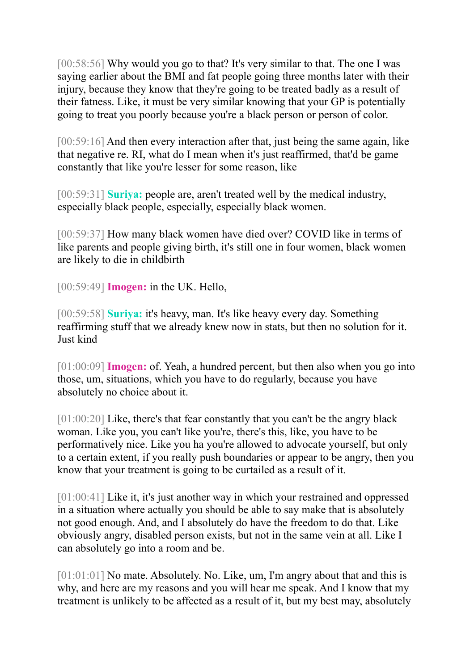[00:58:56] Why would you go to that? It's very similar to that. The one I was saying earlier about the BMI and fat people going three months later with their injury, because they know that they're going to be treated badly as a result of their fatness. Like, it must be very similar knowing that your GP is potentially going to treat you poorly because you're a black person or person of color.

[00:59:16] And then every interaction after that, just being the same again, like that negative re. RI, what do I mean when it's just reaffirmed, that'd be game constantly that like you're lesser for some reason, like

[00:59:31] **Suriya:** people are, aren't treated well by the medical industry, especially black people, especially, especially black women.

[00:59:37] How many black women have died over? COVID like in terms of like parents and people giving birth, it's still one in four women, black women are likely to die in childbirth

[00:59:49] **Imogen:** in the UK. Hello,

[00:59:58] **Suriya:** it's heavy, man. It's like heavy every day. Something reaffirming stuff that we already knew now in stats, but then no solution for it. Just kind

[01:00:09] **Imogen:** of. Yeah, a hundred percent, but then also when you go into those, um, situations, which you have to do regularly, because you have absolutely no choice about it.

[01:00:20] Like, there's that fear constantly that you can't be the angry black woman. Like you, you can't like you're, there's this, like, you have to be performatively nice. Like you ha you're allowed to advocate yourself, but only to a certain extent, if you really push boundaries or appear to be angry, then you know that your treatment is going to be curtailed as a result of it.

[01:00:41] Like it, it's just another way in which your restrained and oppressed in a situation where actually you should be able to say make that is absolutely not good enough. And, and I absolutely do have the freedom to do that. Like obviously angry, disabled person exists, but not in the same vein at all. Like I can absolutely go into a room and be.

[01:01:01] No mate. Absolutely. No. Like, um, I'm angry about that and this is why, and here are my reasons and you will hear me speak. And I know that my treatment is unlikely to be affected as a result of it, but my best may, absolutely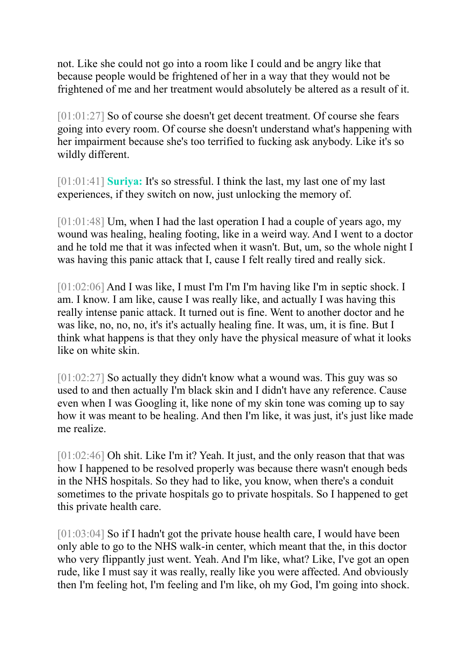not. Like she could not go into a room like I could and be angry like that because people would be frightened of her in a way that they would not be frightened of me and her treatment would absolutely be altered as a result of it.

[01:01:27] So of course she doesn't get decent treatment. Of course she fears going into every room. Of course she doesn't understand what's happening with her impairment because she's too terrified to fucking ask anybody. Like it's so wildly different.

[01:01:41] **Suriya:** It's so stressful. I think the last, my last one of my last experiences, if they switch on now, just unlocking the memory of.

 $[01:01:48]$  Um, when I had the last operation I had a couple of years ago, my wound was healing, healing footing, like in a weird way. And I went to a doctor and he told me that it was infected when it wasn't. But, um, so the whole night I was having this panic attack that I, cause I felt really tired and really sick.

[01:02:06] And I was like, I must I'm I'm I'm having like I'm in septic shock. I am. I know. I am like, cause I was really like, and actually I was having this really intense panic attack. It turned out is fine. Went to another doctor and he was like, no, no, no, it's it's actually healing fine. It was, um, it is fine. But I think what happens is that they only have the physical measure of what it looks like on white skin.

[01:02:27] So actually they didn't know what a wound was. This guy was so used to and then actually I'm black skin and I didn't have any reference. Cause even when I was Googling it, like none of my skin tone was coming up to say how it was meant to be healing. And then I'm like, it was just, it's just like made me realize.

[01:02:46] Oh shit. Like I'm it? Yeah. It just, and the only reason that that was how I happened to be resolved properly was because there wasn't enough beds in the NHS hospitals. So they had to like, you know, when there's a conduit sometimes to the private hospitals go to private hospitals. So I happened to get this private health care.

[01:03:04] So if I hadn't got the private house health care, I would have been only able to go to the NHS walk-in center, which meant that the, in this doctor who very flippantly just went. Yeah. And I'm like, what? Like, I've got an open rude, like I must say it was really, really like you were affected. And obviously then I'm feeling hot, I'm feeling and I'm like, oh my God, I'm going into shock.